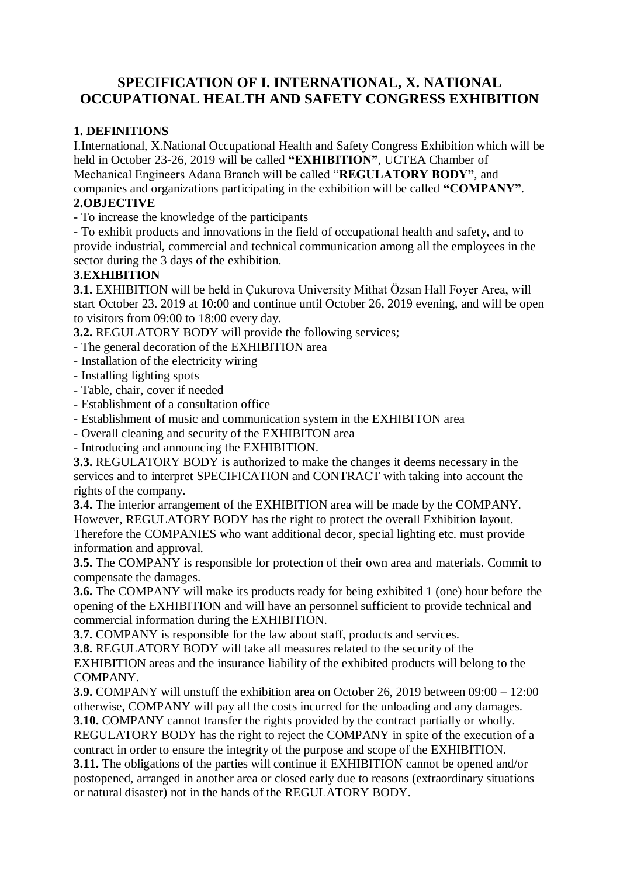## **SPECIFICATION OF I. INTERNATIONAL, X. NATIONAL OCCUPATIONAL HEALTH AND SAFETY CONGRESS EXHIBITION**

### **1. DEFINITIONS**

I.International, X.National Occupational Health and Safety Congress Exhibition which will be held in October 23-26, 2019 will be called **"EXHIBITION"**, UCTEA Chamber of Mechanical Engineers Adana Branch will be called "**REGULATORY BODY"**, and companies and organizations participating in the exhibition will be called **"COMPANY"**.

## **2.OBJECTIVE**

- To increase the knowledge of the participants

- To exhibit products and innovations in the field of occupational health and safety, and to provide industrial, commercial and technical communication among all the employees in the sector during the 3 days of the exhibition.

#### **3.EXHIBITION**

**3.1.** EXHIBITION will be held in Çukurova University Mithat Özsan Hall Foyer Area, will start October 23. 2019 at 10:00 and continue until October 26, 2019 evening, and will be open to visitors from 09:00 to 18:00 every day.

**3.2.** REGULATORY BODY will provide the following services;

- The general decoration of the EXHIBITION area
- Installation of the electricity wiring
- Installing lighting spots
- Table, chair, cover if needed
- Establishment of a consultation office
- Establishment of music and communication system in the EXHIBITON area
- Overall cleaning and security of the EXHIBITON area
- Introducing and announcing the EXHIBITION.

**3.3.** REGULATORY BODY is authorized to make the changes it deems necessary in the services and to interpret SPECIFICATION and CONTRACT with taking into account the rights of the company.

**3.4.** The interior arrangement of the EXHIBITION area will be made by the COMPANY. However, REGULATORY BODY has the right to protect the overall Exhibition layout.

Therefore the COMPANIES who want additional decor, special lighting etc. must provide information and approval.

**3.5.** The COMPANY is responsible for protection of their own area and materials. Commit to compensate the damages.

**3.6.** The COMPANY will make its products ready for being exhibited 1 (one) hour before the opening of the EXHIBITION and will have an personnel sufficient to provide technical and commercial information during the EXHIBITION.

**3.7.** COMPANY is responsible for the law about staff, products and services.

**3.8.** REGULATORY BODY will take all measures related to the security of the EXHIBITION areas and the insurance liability of the exhibited products will belong to the COMPANY.

**3.9.** COMPANY will unstuff the exhibition area on October 26, 2019 between 09:00 – 12:00 otherwise, COMPANY will pay all the costs incurred for the unloading and any damages.

**3.10.** COMPANY cannot transfer the rights provided by the contract partially or wholly. REGULATORY BODY has the right to reject the COMPANY in spite of the execution of a contract in order to ensure the integrity of the purpose and scope of the EXHIBITION.

**3.11.** The obligations of the parties will continue if EXHIBITION cannot be opened and/or postopened, arranged in another area or closed early due to reasons (extraordinary situations or natural disaster) not in the hands of the REGULATORY BODY.